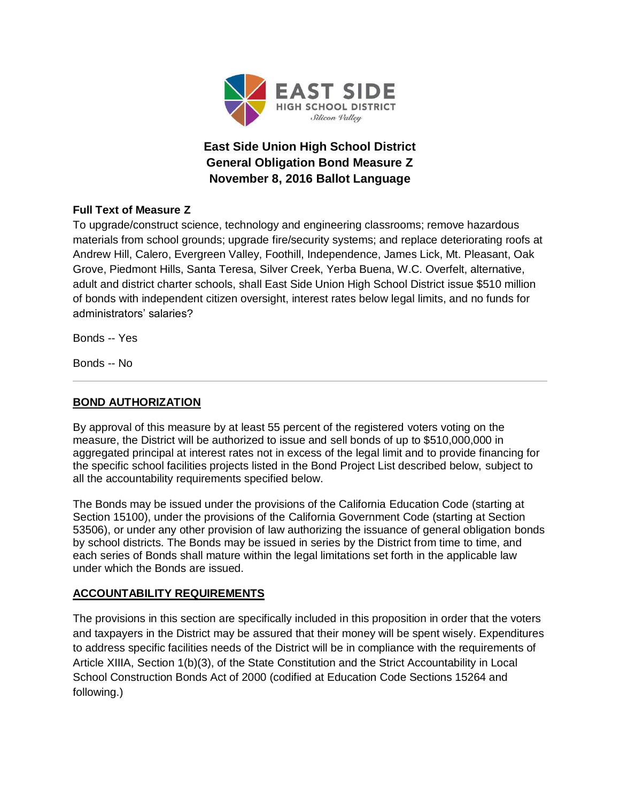

# **East Side Union High School District General Obligation Bond Measure Z November 8, 2016 Ballot Language**

# **Full Text of Measure Z**

To upgrade/construct science, technology and engineering classrooms; remove hazardous materials from school grounds; upgrade fire/security systems; and replace deteriorating roofs at Andrew Hill, Calero, Evergreen Valley, Foothill, Independence, James Lick, Mt. Pleasant, Oak Grove, Piedmont Hills, Santa Teresa, Silver Creek, Yerba Buena, W.C. Overfelt, alternative, adult and district charter schools, shall East Side Union High School District issue \$510 million of bonds with independent citizen oversight, interest rates below legal limits, and no funds for administrators' salaries?

Bonds -- Yes

Bonds -- No

# **BOND AUTHORIZATION**

By approval of this measure by at least 55 percent of the registered voters voting on the measure, the District will be authorized to issue and sell bonds of up to \$510,000,000 in aggregated principal at interest rates not in excess of the legal limit and to provide financing for the specific school facilities projects listed in the Bond Project List described below, subject to all the accountability requirements specified below.

The Bonds may be issued under the provisions of the California Education Code (starting at Section 15100), under the provisions of the California Government Code (starting at Section 53506), or under any other provision of law authorizing the issuance of general obligation bonds by school districts. The Bonds may be issued in series by the District from time to time, and each series of Bonds shall mature within the legal limitations set forth in the applicable law under which the Bonds are issued.

# **ACCOUNTABILITY REQUIREMENTS**

The provisions in this section are specifically included in this proposition in order that the voters and taxpayers in the District may be assured that their money will be spent wisely. Expenditures to address specific facilities needs of the District will be in compliance with the requirements of Article XIIIA, Section 1(b)(3), of the State Constitution and the Strict Accountability in Local School Construction Bonds Act of 2000 (codified at Education Code Sections 15264 and following.)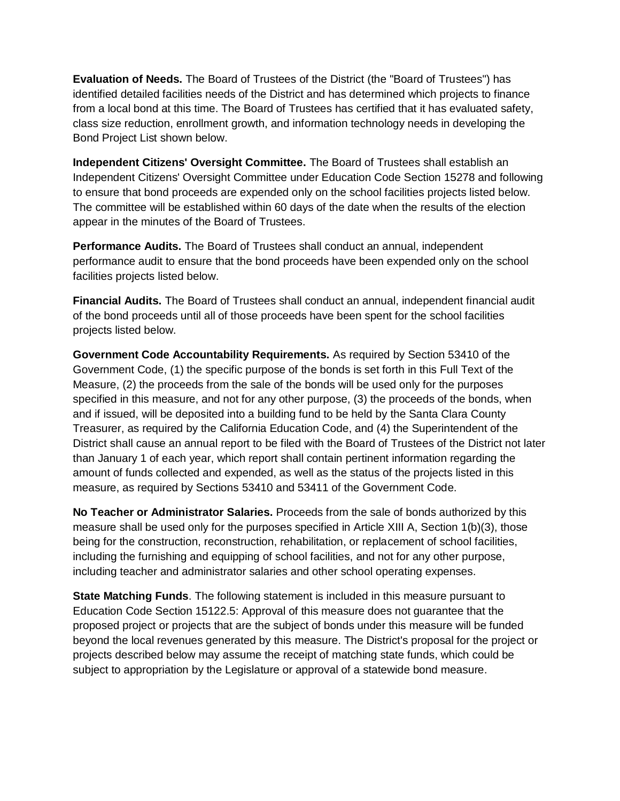**Evaluation of Needs.** The Board of Trustees of the District (the "Board of Trustees") has identified detailed facilities needs of the District and has determined which projects to finance from a local bond at this time. The Board of Trustees has certified that it has evaluated safety, class size reduction, enrollment growth, and information technology needs in developing the Bond Project List shown below.

**Independent Citizens' Oversight Committee.** The Board of Trustees shall establish an Independent Citizens' Oversight Committee under Education Code Section 15278 and following to ensure that bond proceeds are expended only on the school facilities projects listed below. The committee will be established within 60 days of the date when the results of the election appear in the minutes of the Board of Trustees.

**Performance Audits.** The Board of Trustees shall conduct an annual, independent performance audit to ensure that the bond proceeds have been expended only on the school facilities projects listed below.

**Financial Audits.** The Board of Trustees shall conduct an annual, independent financial audit of the bond proceeds until all of those proceeds have been spent for the school facilities projects listed below.

**Government Code Accountability Requirements.** As required by Section 53410 of the Government Code, (1) the specific purpose of the bonds is set forth in this Full Text of the Measure, (2) the proceeds from the sale of the bonds will be used only for the purposes specified in this measure, and not for any other purpose, (3) the proceeds of the bonds, when and if issued, will be deposited into a building fund to be held by the Santa Clara County Treasurer, as required by the California Education Code, and (4) the Superintendent of the District shall cause an annual report to be filed with the Board of Trustees of the District not later than January 1 of each year, which report shall contain pertinent information regarding the amount of funds collected and expended, as well as the status of the projects listed in this measure, as required by Sections 53410 and 53411 of the Government Code.

**No Teacher or Administrator Salaries.** Proceeds from the sale of bonds authorized by this measure shall be used only for the purposes specified in Article XIII A, Section 1(b)(3), those being for the construction, reconstruction, rehabilitation, or replacement of school facilities, including the furnishing and equipping of school facilities, and not for any other purpose, including teacher and administrator salaries and other school operating expenses.

**State Matching Funds**. The following statement is included in this measure pursuant to Education Code Section 15122.5: Approval of this measure does not guarantee that the proposed project or projects that are the subject of bonds under this measure will be funded beyond the local revenues generated by this measure. The District's proposal for the project or projects described below may assume the receipt of matching state funds, which could be subject to appropriation by the Legislature or approval of a statewide bond measure.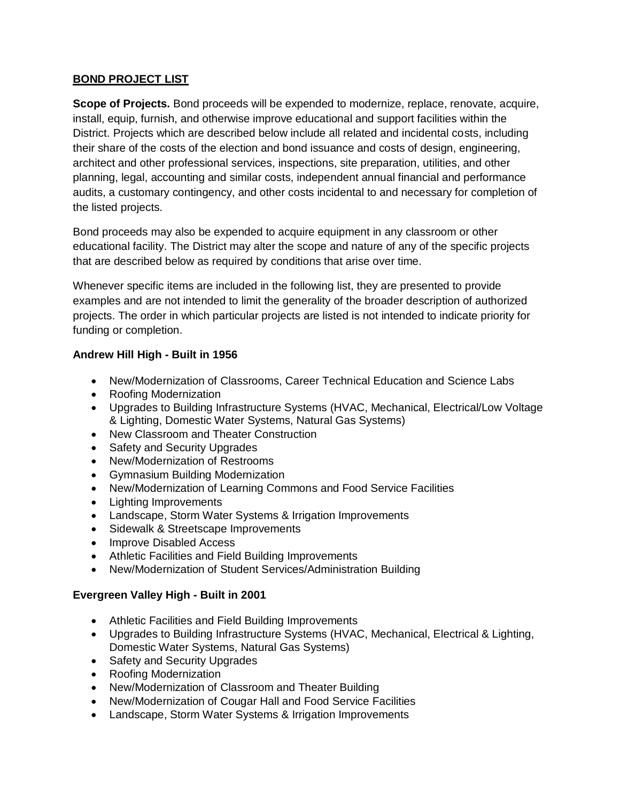## **BOND PROJECT LIST**

**Scope of Projects.** Bond proceeds will be expended to modernize, replace, renovate, acquire, install, equip, furnish, and otherwise improve educational and support facilities within the District. Projects which are described below include all related and incidental costs, including their share of the costs of the election and bond issuance and costs of design, engineering, architect and other professional services, inspections, site preparation, utilities, and other planning, legal, accounting and similar costs, independent annual financial and performance audits, a customary contingency, and other costs incidental to and necessary for completion of the listed projects.

Bond proceeds may also be expended to acquire equipment in any classroom or other educational facility. The District may alter the scope and nature of any of the specific projects that are described below as required by conditions that arise over time.

Whenever specific items are included in the following list, they are presented to provide examples and are not intended to limit the generality of the broader description of authorized projects. The order in which particular projects are listed is not intended to indicate priority for funding or completion.

## **Andrew Hill High - Built in 1956**

- New/Modernization of Classrooms, Career Technical Education and Science Labs
- Roofing Modernization
- Upgrades to Building Infrastructure Systems (HVAC, Mechanical, Electrical/Low Voltage & Lighting, Domestic Water Systems, Natural Gas Systems)
- New Classroom and Theater Construction
- Safety and Security Upgrades
- New/Modernization of Restrooms
- Gymnasium Building Modernization
- New/Modernization of Learning Commons and Food Service Facilities
- Lighting Improvements
- Landscape, Storm Water Systems & Irrigation Improvements
- Sidewalk & Streetscape Improvements
- Improve Disabled Access
- Athletic Facilities and Field Building Improvements
- New/Modernization of Student Services/Administration Building

# **Evergreen Valley High - Built in 2001**

- Athletic Facilities and Field Building Improvements
- Upgrades to Building Infrastructure Systems (HVAC, Mechanical, Electrical & Lighting, Domestic Water Systems, Natural Gas Systems)
- Safety and Security Upgrades
- Roofing Modernization
- New/Modernization of Classroom and Theater Building
- New/Modernization of Cougar Hall and Food Service Facilities
- Landscape, Storm Water Systems & Irrigation Improvements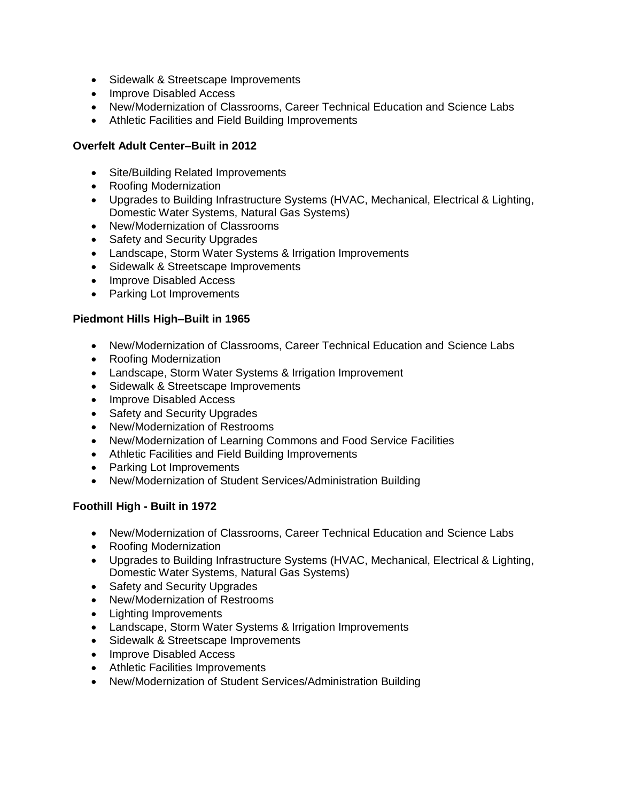- Sidewalk & Streetscape Improvements
- Improve Disabled Access
- New/Modernization of Classrooms, Career Technical Education and Science Labs
- Athletic Facilities and Field Building Improvements

## **Overfelt Adult Center–Built in 2012**

- Site/Building Related Improvements
- Roofing Modernization
- Upgrades to Building Infrastructure Systems (HVAC, Mechanical, Electrical & Lighting, Domestic Water Systems, Natural Gas Systems)
- New/Modernization of Classrooms
- Safety and Security Upgrades
- Landscape, Storm Water Systems & Irrigation Improvements
- Sidewalk & Streetscape Improvements
- Improve Disabled Access
- Parking Lot Improvements

## **Piedmont Hills High–Built in 1965**

- New/Modernization of Classrooms, Career Technical Education and Science Labs
- Roofing Modernization
- Landscape, Storm Water Systems & Irrigation Improvement
- Sidewalk & Streetscape Improvements
- Improve Disabled Access
- Safety and Security Upgrades
- New/Modernization of Restrooms
- New/Modernization of Learning Commons and Food Service Facilities
- Athletic Facilities and Field Building Improvements
- Parking Lot Improvements
- New/Modernization of Student Services/Administration Building

## **Foothill High - Built in 1972**

- New/Modernization of Classrooms, Career Technical Education and Science Labs
- Roofing Modernization
- Upgrades to Building Infrastructure Systems (HVAC, Mechanical, Electrical & Lighting, Domestic Water Systems, Natural Gas Systems)
- Safety and Security Upgrades
- New/Modernization of Restrooms
- Lighting Improvements
- Landscape, Storm Water Systems & Irrigation Improvements
- Sidewalk & Streetscape Improvements
- Improve Disabled Access
- Athletic Facilities Improvements
- New/Modernization of Student Services/Administration Building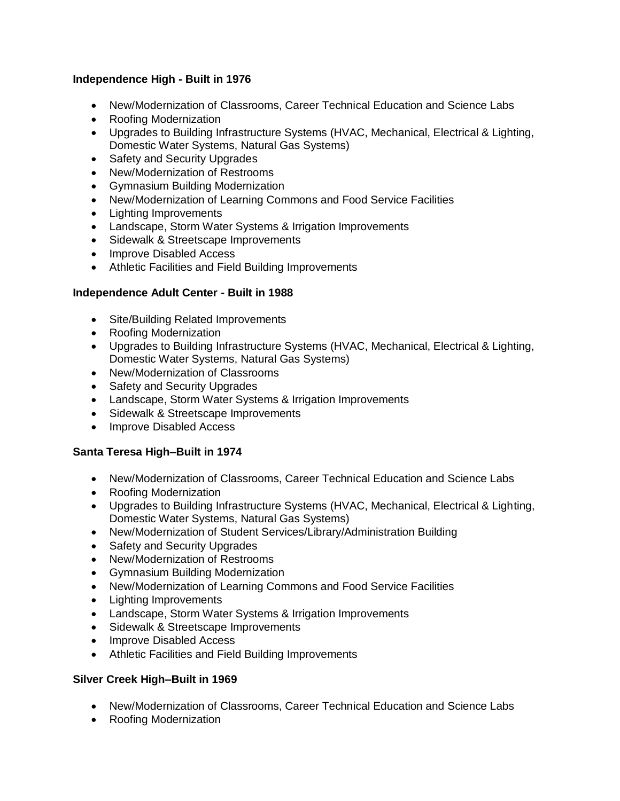## **Independence High - Built in 1976**

- New/Modernization of Classrooms, Career Technical Education and Science Labs
- Roofing Modernization
- Upgrades to Building Infrastructure Systems (HVAC, Mechanical, Electrical & Lighting, Domestic Water Systems, Natural Gas Systems)
- Safety and Security Upgrades
- New/Modernization of Restrooms
- Gymnasium Building Modernization
- New/Modernization of Learning Commons and Food Service Facilities
- Lighting Improvements
- Landscape, Storm Water Systems & Irrigation Improvements
- Sidewalk & Streetscape Improvements
- Improve Disabled Access
- Athletic Facilities and Field Building Improvements

## **Independence Adult Center - Built in 1988**

- Site/Building Related Improvements
- Roofing Modernization
- Upgrades to Building Infrastructure Systems (HVAC, Mechanical, Electrical & Lighting, Domestic Water Systems, Natural Gas Systems)
- New/Modernization of Classrooms
- Safety and Security Upgrades
- Landscape, Storm Water Systems & Irrigation Improvements
- Sidewalk & Streetscape Improvements
- Improve Disabled Access

## **Santa Teresa High–Built in 1974**

- New/Modernization of Classrooms, Career Technical Education and Science Labs
- Roofing Modernization
- Upgrades to Building Infrastructure Systems (HVAC, Mechanical, Electrical & Lighting, Domestic Water Systems, Natural Gas Systems)
- New/Modernization of Student Services/Library/Administration Building
- Safety and Security Upgrades
- New/Modernization of Restrooms
- Gymnasium Building Modernization
- New/Modernization of Learning Commons and Food Service Facilities
- Lighting Improvements
- Landscape, Storm Water Systems & Irrigation Improvements
- Sidewalk & Streetscape Improvements
- Improve Disabled Access
- Athletic Facilities and Field Building Improvements

## **Silver Creek High–Built in 1969**

- New/Modernization of Classrooms, Career Technical Education and Science Labs
- Roofing Modernization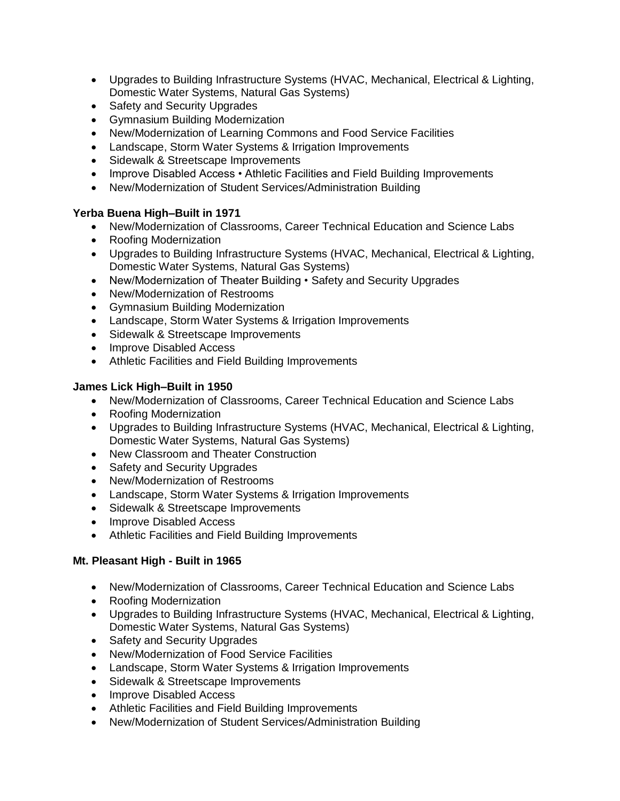- Upgrades to Building Infrastructure Systems (HVAC, Mechanical, Electrical & Lighting, Domestic Water Systems, Natural Gas Systems)
- Safety and Security Upgrades
- Gymnasium Building Modernization
- New/Modernization of Learning Commons and Food Service Facilities
- Landscape, Storm Water Systems & Irrigation Improvements
- Sidewalk & Streetscape Improvements
- Improve Disabled Access Athletic Facilities and Field Building Improvements
- New/Modernization of Student Services/Administration Building

# **Yerba Buena High–Built in 1971**

- New/Modernization of Classrooms, Career Technical Education and Science Labs
- Roofing Modernization
- Upgrades to Building Infrastructure Systems (HVAC, Mechanical, Electrical & Lighting, Domestic Water Systems, Natural Gas Systems)
- New/Modernization of Theater Building Safety and Security Upgrades
- New/Modernization of Restrooms
- Gymnasium Building Modernization
- Landscape, Storm Water Systems & Irrigation Improvements
- Sidewalk & Streetscape Improvements
- Improve Disabled Access
- Athletic Facilities and Field Building Improvements

# **James Lick High–Built in 1950**

- New/Modernization of Classrooms, Career Technical Education and Science Labs
- Roofing Modernization
- Upgrades to Building Infrastructure Systems (HVAC, Mechanical, Electrical & Lighting, Domestic Water Systems, Natural Gas Systems)
- New Classroom and Theater Construction
- Safety and Security Upgrades
- New/Modernization of Restrooms
- Landscape, Storm Water Systems & Irrigation Improvements
- Sidewalk & Streetscape Improvements
- Improve Disabled Access
- Athletic Facilities and Field Building Improvements

# **Mt. Pleasant High - Built in 1965**

- New/Modernization of Classrooms, Career Technical Education and Science Labs
- Roofing Modernization
- Upgrades to Building Infrastructure Systems (HVAC, Mechanical, Electrical & Lighting, Domestic Water Systems, Natural Gas Systems)
- Safety and Security Upgrades
- New/Modernization of Food Service Facilities
- Landscape, Storm Water Systems & Irrigation Improvements
- Sidewalk & Streetscape Improvements
- Improve Disabled Access
- Athletic Facilities and Field Building Improvements
- New/Modernization of Student Services/Administration Building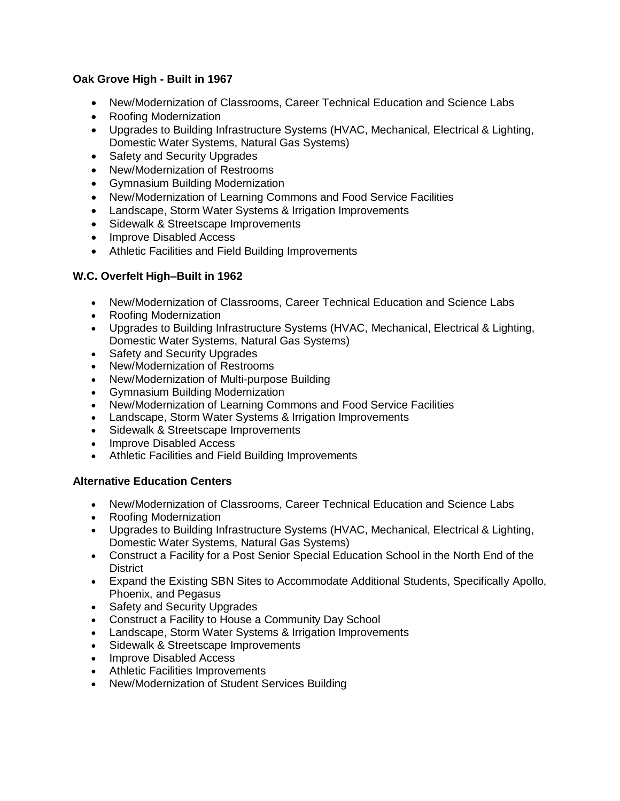## **Oak Grove High - Built in 1967**

- New/Modernization of Classrooms, Career Technical Education and Science Labs
- Roofing Modernization
- Upgrades to Building Infrastructure Systems (HVAC, Mechanical, Electrical & Lighting, Domestic Water Systems, Natural Gas Systems)
- Safety and Security Upgrades
- New/Modernization of Restrooms
- Gymnasium Building Modernization
- New/Modernization of Learning Commons and Food Service Facilities
- Landscape, Storm Water Systems & Irrigation Improvements
- Sidewalk & Streetscape Improvements
- Improve Disabled Access
- Athletic Facilities and Field Building Improvements

## **W.C. Overfelt High–Built in 1962**

- New/Modernization of Classrooms, Career Technical Education and Science Labs
- Roofing Modernization
- Upgrades to Building Infrastructure Systems (HVAC, Mechanical, Electrical & Lighting, Domestic Water Systems, Natural Gas Systems)
- Safety and Security Upgrades
- New/Modernization of Restrooms
- New/Modernization of Multi-purpose Building
- Gymnasium Building Modernization
- New/Modernization of Learning Commons and Food Service Facilities
- Landscape, Storm Water Systems & Irrigation Improvements
- Sidewalk & Streetscape Improvements
- Improve Disabled Access
- Athletic Facilities and Field Building Improvements

## **Alternative Education Centers**

- New/Modernization of Classrooms, Career Technical Education and Science Labs
- Roofing Modernization
- Upgrades to Building Infrastructure Systems (HVAC, Mechanical, Electrical & Lighting, Domestic Water Systems, Natural Gas Systems)
- Construct a Facility for a Post Senior Special Education School in the North End of the **District**
- Expand the Existing SBN Sites to Accommodate Additional Students, Specifically Apollo, Phoenix, and Pegasus
- Safety and Security Upgrades
- Construct a Facility to House a Community Day School
- Landscape, Storm Water Systems & Irrigation Improvements
- Sidewalk & Streetscape Improvements
- Improve Disabled Access
- Athletic Facilities Improvements
- New/Modernization of Student Services Building